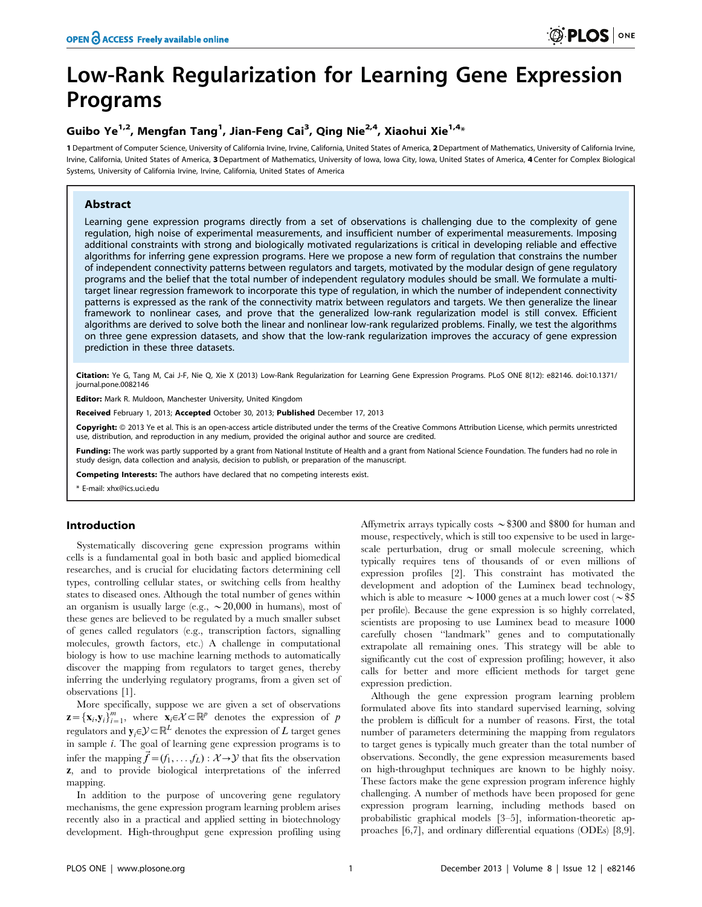# Low-Rank Regularization for Learning Gene Expression Programs

# Guibo Ye<sup>1,2</sup>, Mengfan Tang<sup>1</sup>, Jian-Feng Cai<sup>3</sup>, Qing Nie<sup>2,4</sup>, Xiaohui Xie<sup>1,4</sup>\*

1 Department of Computer Science, University of California Irvine, Irvine, California, United States of America, 2Department of Mathematics, University of California Irvine, Irvine, California, United States of America, 3 Department of Mathematics, University of Iowa, Iowa City, Iowa, United States of America, 4 Center for Complex Biological Systems, University of California Irvine, Irvine, California, United States of America

# Abstract

Learning gene expression programs directly from a set of observations is challenging due to the complexity of gene regulation, high noise of experimental measurements, and insufficient number of experimental measurements. Imposing additional constraints with strong and biologically motivated regularizations is critical in developing reliable and effective algorithms for inferring gene expression programs. Here we propose a new form of regulation that constrains the number of independent connectivity patterns between regulators and targets, motivated by the modular design of gene regulatory programs and the belief that the total number of independent regulatory modules should be small. We formulate a multitarget linear regression framework to incorporate this type of regulation, in which the number of independent connectivity patterns is expressed as the rank of the connectivity matrix between regulators and targets. We then generalize the linear framework to nonlinear cases, and prove that the generalized low-rank regularization model is still convex. Efficient algorithms are derived to solve both the linear and nonlinear low-rank regularized problems. Finally, we test the algorithms on three gene expression datasets, and show that the low-rank regularization improves the accuracy of gene expression prediction in these three datasets.

Citation: Ye G, Tang M, Cai J-F, Nie Q, Xie X (2013) Low-Rank Regularization for Learning Gene Expression Programs. PLoS ONE 8(12): e82146. doi:10.1371/ journal.pone.0082146

Editor: Mark R. Muldoon, Manchester University, United Kingdom

Received February 1, 2013; Accepted October 30, 2013; Published December 17, 2013

Copyright: © 2013 Ye et al. This is an open-access article distributed under the terms of the Creative Commons Attribution License, which permits unrestricted use, distribution, and reproduction in any medium, provided the original author and source are credited.

Funding: The work was partly supported by a grant from National Institute of Health and a grant from National Science Foundation. The funders had no role in study design, data collection and analysis, decision to publish, or preparation of the manuscript.

Competing Interests: The authors have declared that no competing interests exist.

\* E-mail: xhx@ics.uci.edu

# Introduction

Systematically discovering gene expression programs within cells is a fundamental goal in both basic and applied biomedical researches, and is crucial for elucidating factors determining cell types, controlling cellular states, or switching cells from healthy states to diseased ones. Although the total number of genes within an organism is usually large (e.g.,  $\sim 20,000$  in humans), most of these genes are believed to be regulated by a much smaller subset of genes called regulators (e.g., transcription factors, signalling molecules, growth factors, etc.) A challenge in computational biology is how to use machine learning methods to automatically discover the mapping from regulators to target genes, thereby inferring the underlying regulatory programs, from a given set of observations [1].

More specifically, suppose we are given a set of observations  $\mathbf{z} = {\mathbf{x}_i, \mathbf{y}_i}_{i=1}^m$ , where  $\mathbf{x}_i \in \mathcal{X} \subset \mathbb{R}^p$  denotes the expression of p regulators and  $\mathbf{y}_i \in \mathcal{Y} \subset \mathbb{R}^L$  denotes the expression of L target genes in sample i. The goal of learning gene expression programs is to infer the mapping  $\vec{f} = (f_1, \ldots, f_L) : \mathcal{X} \rightarrow \mathcal{Y}$  that fits the observation z, and to provide biological interpretations of the inferred mapping.

In addition to the purpose of uncovering gene regulatory mechanisms, the gene expression program learning problem arises recently also in a practical and applied setting in biotechnology development. High-throughput gene expression profiling using Affymetrix arrays typically costs  $\sim$  \$300 and \$800 for human and mouse, respectively, which is still too expensive to be used in largescale perturbation, drug or small molecule screening, which typically requires tens of thousands of or even millions of expression profiles [2]. This constraint has motivated the development and adoption of the Luminex bead technology, which is able to measure  $\sim$  1000 genes at a much lower cost ( $\sim$  \$5 per profile). Because the gene expression is so highly correlated, scientists are proposing to use Luminex bead to measure 1000 carefully chosen ''landmark'' genes and to computationally extrapolate all remaining ones. This strategy will be able to significantly cut the cost of expression profiling; however, it also calls for better and more efficient methods for target gene expression prediction.

Although the gene expression program learning problem formulated above fits into standard supervised learning, solving the problem is difficult for a number of reasons. First, the total number of parameters determining the mapping from regulators to target genes is typically much greater than the total number of observations. Secondly, the gene expression measurements based on high-throughput techniques are known to be highly noisy. These factors make the gene expression program inference highly challenging. A number of methods have been proposed for gene expression program learning, including methods based on probabilistic graphical models [3–5], information-theoretic approaches [6,7], and ordinary differential equations (ODEs) [8,9].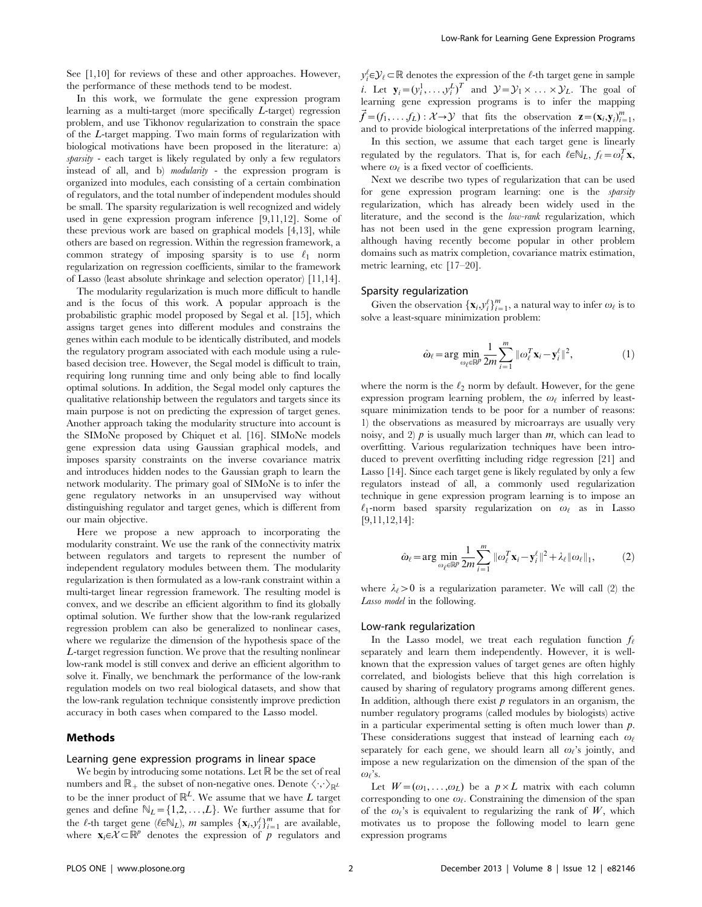See [1,10] for reviews of these and other approaches. However, the performance of these methods tend to be modest.

In this work, we formulate the gene expression program learning as a multi-target (more specifically L-target) regression problem, and use Tikhonov regularization to constrain the space of the L-target mapping. Two main forms of regularization with biological motivations have been proposed in the literature: a) sparsity - each target is likely regulated by only a few regulators instead of all, and b) *modularity* - the expression program is organized into modules, each consisting of a certain combination of regulators, and the total number of independent modules should be small. The sparsity regularization is well recognized and widely used in gene expression program inference [9,11,12]. Some of these previous work are based on graphical models [4,13], while others are based on regression. Within the regression framework, a common strategy of imposing sparsity is to use  $\ell_1$  norm regularization on regression coefficients, similar to the framework of Lasso (least absolute shrinkage and selection operator) [11,14].

The modularity regularization is much more difficult to handle and is the focus of this work. A popular approach is the probabilistic graphic model proposed by Segal et al. [15], which assigns target genes into different modules and constrains the genes within each module to be identically distributed, and models the regulatory program associated with each module using a rulebased decision tree. However, the Segal model is difficult to train, requiring long running time and only being able to find locally optimal solutions. In addition, the Segal model only captures the qualitative relationship between the regulators and targets since its main purpose is not on predicting the expression of target genes. Another approach taking the modularity structure into account is the SIMoNe proposed by Chiquet et al. [16]. SIMoNe models gene expression data using Gaussian graphical models, and imposes sparsity constraints on the inverse covariance matrix and introduces hidden nodes to the Gaussian graph to learn the network modularity. The primary goal of SIMoNe is to infer the gene regulatory networks in an unsupervised way without distinguishing regulator and target genes, which is different from our main objective.

Here we propose a new approach to incorporating the modularity constraint. We use the rank of the connectivity matrix between regulators and targets to represent the number of independent regulatory modules between them. The modularity regularization is then formulated as a low-rank constraint within a multi-target linear regression framework. The resulting model is convex, and we describe an efficient algorithm to find its globally optimal solution. We further show that the low-rank regularized regression problem can also be generalized to nonlinear cases, where we regularize the dimension of the hypothesis space of the L-target regression function. We prove that the resulting nonlinear low-rank model is still convex and derive an efficient algorithm to solve it. Finally, we benchmark the performance of the low-rank regulation models on two real biological datasets, and show that the low-rank regulation technique consistently improve prediction accuracy in both cases when compared to the Lasso model.

# Methods

#### Learning gene expression programs in linear space

We begin by introducing some notations. Let  $\mathbb R$  be the set of real numbers and  $\mathbb{R}_+$  the subset of non-negative ones. Denote  $\langle \cdot, \cdot \rangle_{\mathbb{R}^L}$ to be the inner product of  $\mathbb{R}^L$ . We assume that we have L target genes and define  $\mathbb{N}_L = \{1,2,\ldots,L\}$ . We further assume that for the  $\ell$ -th target gene  $(\ell \in N_L)$ , m samples  $\{x_i, y_i^{\ell}\}_{i=1}^m$  are available, where  $\mathbf{x}_i \in \mathcal{X} \subset \mathbb{R}^p$  denotes the expression of p regulators and

 $y_i^{\ell} \in \mathcal{Y}_{\ell} \subset \mathbb{R}$  denotes the expression of the  $\ell$  -th target gene in sample *i*. Let  $\mathbf{y}_i = (y_i^1, \dots, y_i^L)^T$  and  $\mathcal{Y} = \mathcal{Y}_1 \times \dots \times \mathcal{Y}_L$ . The goal of learning gene expression programs is to infer the mapping  $\vec{f} = (f_1, \ldots, f_L) : \mathcal{X} \to \mathcal{Y}$  that fits the observation  $\mathbf{z} = (\mathbf{x}_i, \mathbf{y}_i)_{i=1}^m$ , and to provide biological interpretations of the inferred mapping.

In this section, we assume that each target gene is linearly regulated by the regulators. That is, for each  $\ell \in \mathbb{N}_L$ ,  $f_{\ell} = \omega_{\ell}^T \mathbf{x}$ , where  $\omega_\ell$  is a fixed vector of coefficients.

Next we describe two types of regularization that can be used for gene expression program learning: one is the sparsity regularization, which has already been widely used in the literature, and the second is the *low-rank* regularization, which has not been used in the gene expression program learning, although having recently become popular in other problem domains such as matrix completion, covariance matrix estimation, metric learning, etc [17–20].

#### Sparsity regularization

Given the observation  $\{x_i, y_i^{\ell}\}_{i=1}^m$ , a natural way to infer  $\omega_{\ell}$  is to solve a least-square minimization problem:

$$
\hat{\omega}_{\ell} = \arg \min_{\omega_{\ell} \in \mathbb{R}^p} \frac{1}{2m} \sum_{i=1}^m \|\omega_{\ell}^T \mathbf{x}_i - \mathbf{y}_i^{\ell}\|^2, \tag{1}
$$

where the norm is the  $\ell_2$  norm by default. However, for the gene expression program learning problem, the  $\omega_{\ell}$  inferred by leastsquare minimization tends to be poor for a number of reasons: 1) the observations as measured by microarrays are usually very noisy, and 2)  $p$  is usually much larger than  $m$ , which can lead to overfitting. Various regularization techniques have been introduced to prevent overfitting including ridge regression [21] and Lasso [14]. Since each target gene is likely regulated by only a few regulators instead of all, a commonly used regularization technique in gene expression program learning is to impose an  $\ell_1$ -norm based sparsity regularization on  $\omega_\ell$  as in Lasso [9,11,12,14]:

$$
\hat{\omega}_{\ell} = \arg \min_{\omega_{\ell} \in \mathbb{R}^p} \frac{1}{2m} \sum_{i=1}^m \|\omega_{\ell}^T \mathbf{x}_i - \mathbf{y}_i^{\ell}\|^2 + \lambda_{\ell} \|\omega_{\ell}\|_1, \tag{2}
$$

where  $\lambda_{\ell} > 0$  is a regularization parameter. We will call (2) the Lasso model in the following.

#### Low-rank regularization

In the Lasso model, we treat each regulation function  $f_{\ell}$ separately and learn them independently. However, it is wellknown that the expression values of target genes are often highly correlated, and biologists believe that this high correlation is caused by sharing of regulatory programs among different genes. In addition, although there exist  $p$  regulators in an organism, the number regulatory programs (called modules by biologists) active in a particular experimental setting is often much lower than  $p$ . These considerations suggest that instead of learning each  $\omega_{\ell}$ separately for each gene, we should learn all  $\omega_{\ell}$ 's jointly, and impose a new regularization on the dimension of the span of the  $\omega_{\ell}$ 's.

Let  $W=(\omega_1, \ldots, \omega_L)$  be a  $p \times L$  matrix with each column corresponding to one  $\omega_{\ell}$ . Constraining the dimension of the span of the  $\omega_{\ell}$ 's is equivalent to regularizing the rank of W, which motivates us to propose the following model to learn gene expression programs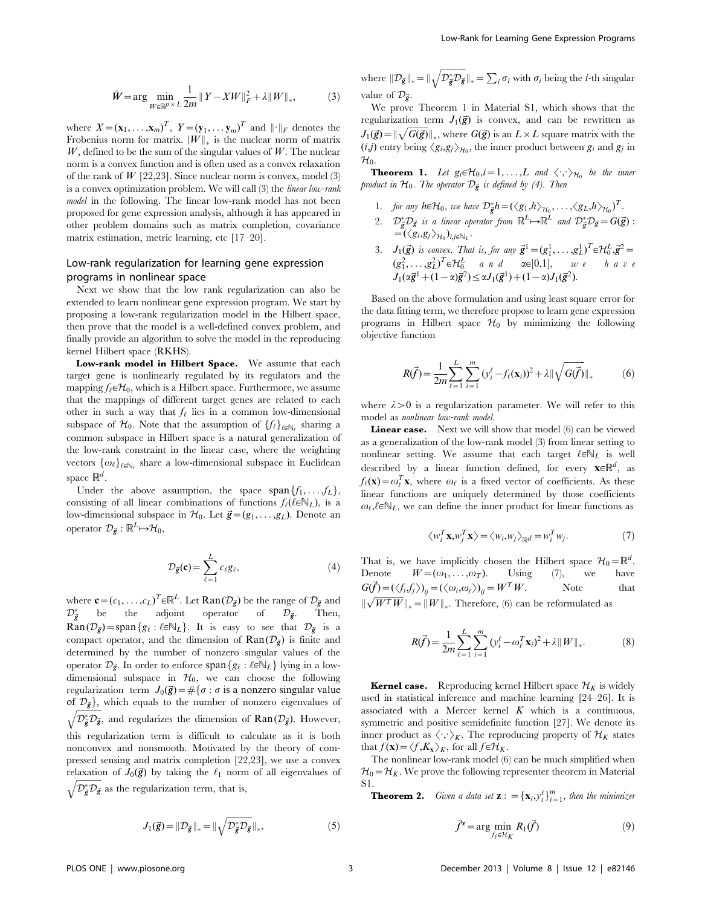$$
\hat{W} = \arg\min_{W \in \mathbb{R}^p \times L} \frac{1}{2m} \|Y - XW\|_F^2 + \lambda \|W\|_*,
$$
 (3)

where  $X = (\mathbf{x}_1, \dots, \mathbf{x}_m)^T$ ,  $Y = (\mathbf{y}_1, \dots, \mathbf{y}_m)^T$  and  $\|\cdot\|_F$  denotes the Frobenius norm for matrix.  $\|W\|_{*}$  is the nuclear norm of matrix W, defined to be the sum of the singular values of  $W$ . The nuclear norm is a convex function and is often used as a convex relaxation of the rank of  $W$  [22,23]. Since nuclear norm is convex, model (3) is a convex optimization problem. We will call (3) the linear low-rank model in the following. The linear low-rank model has not been proposed for gene expression analysis, although it has appeared in other problem domains such as matrix completion, covariance matrix estimation, metric learning, etc [17–20].

# Low-rank regularization for learning gene expression programs in nonlinear space

Next we show that the low rank regularization can also be extended to learn nonlinear gene expression program. We start by proposing a low-rank regularization model in the Hilbert space, then prove that the model is a well-defined convex problem, and finally provide an algorithm to solve the model in the reproducing kernel Hilbert space (RKHS).

Low-rank model in Hilbert Space. We assume that each target gene is nonlinearly regulated by its regulators and the mapping  $f_{\ell} \in \mathcal{H}_0$ , which is a Hilbert space. Furthermore, we assume that the mappings of different target genes are related to each other in such a way that  $f_{\ell}$  lies in a common low-dimensional subspace of  $\mathcal{H}_0$ . Note that the assumption of  $\{f_\ell\}_{\ell \in \mathbb{N}_\ell}$  sharing a common subspace in Hilbert space is a natural generalization of the low-rank constraint in the linear case, where the weighting vectors  $\{\omega_\ell\}_{\ell \in \mathbb{N}_\ell}$  share a low-dimensional subspace in Euclidean space  $\mathbb{R}^d$ .

Under the above assumption, the space span ${f_1, \ldots, f_L}$ , consisting of all linear combinations of functions  $f_{\ell}(\ell \in N_L)$ , is a low-dimensional subspace in  $H_0$ . Let  $\vec{g} = (g_1, \ldots, g_L)$ . Denote an operator  $\mathcal{D}_{\vec{e}} : \mathbb{R}^L \rightarrow \mathcal{H}_0$ ,

$$
\mathcal{D}_{\vec{g}}(\mathbf{c}) = \sum_{\ell=1}^{L} c_{\ell} g_{\ell},\tag{4}
$$

where  $\mathbf{c} = (c_1, \dots, c_L)^T \in \mathbb{R}^L$ . Let  $\text{Ran} (\mathcal{D}_{\vec{g}})$  be the range of  $\mathcal{D}_{\vec{g}}$  and  $\mathcal{D}^*_{\vec{g}}$  be the adjoint operator of  $\mathcal{D}_{\vec{g}}$ . Then,  $\text{Ran}(\mathcal{D}_{\vec{g}})$  = span  $\{g_{\ell} : \ell \in \mathbb{N}_L\}$ . It is easy to see that  $\mathcal{D}_{\vec{g}}$  is a compact operator, and the dimension of  $\text{Ran}(\mathcal{D}_{\vec{g}})$  is finite and determined by the number of nonzero singular values of the operator  $\mathcal{D}_{\vec{p}}$ . In order to enforce span $\{g_{\ell} : \ell \in \mathbb{N}_L\}$  lying in a lowdimensional subspace in  $H_0$ , we can choose the following regularization term  $J_0(\vec{g}) = \#\{\sigma : \sigma \text{ is a nonzero singular value}\}$ of  $\mathcal{D}_{\vec{g}}\}$ , which equals to the number of nonzero eigenvalues of  $\mathcal{D}_{\vec{g}}^* \mathcal{D}_{\vec{g}}$ , and regularizes the dimension of  $\text{Ran}(\mathcal{D}_{\vec{g}})$ . However, this regularization term is difficult to calculate as it is both nonconvex and nonsmooth. Motivated by the theory of compressed sensing and matrix completion [22,23], we use a convex relaxation of  $J_0(\vec{g})$  by taking the  $\ell_1$  norm of all eigenvalues of

 $\sqrt{\mathcal{D}_{\vec{g}}^* \mathcal{D}_{\vec{g}}}$  as the regularization term, that is,

where  $\|\mathcal{D}_{\vec{g}}\|_* = \|\sqrt{\mathcal{D}_{\vec{g}}^* \mathcal{D}_{\vec{g}}}\|_* = \sum_i \sigma_i$  with  $\sigma_i$  being the *i*-th singular value of  $\mathcal{D}_{\vec{p}}$ .

We prove Theorem 1 in Material S1, which shows that the regularization term  $J_1(\vec{g})$  is convex, and can be rewritten as  $J_1(\vec{g}) = ||\sqrt{G(\vec{g})}||_*$ , where  $G(\vec{g})$  is an  $L \times L$  square matrix with the  $(i,j)$  entry being  $\langle g_i, g_j \rangle_{\mathcal{H}_0}$ , the inner product between  $g_i$  and  $g_j$  in

 $\mathcal{H}_0$ .<br> **Theorem 1.** Let  $g_i \in \mathcal{H}_0, i = 1, ..., L$  and  $\langle \cdot, \cdot \rangle_{\mathcal{H}_0}$  be the inner product in  $\mathcal{H}_0$ . The operator  $\mathcal{D}_{\vec{\bm{g}}}$  is defined by (4). Then

- 1. for any  $h \in \mathcal{H}_0$ , we have  $\mathcal{D}_{\vec{g}}^* h = (\langle g_1, h \rangle_{\mathcal{H}_0}, \ldots, \langle g_L, h \rangle_{\mathcal{H}_0})^T$ .
- 2.  $\mathcal{D}^*_{\vec{g}}\mathcal{D}_{\vec{g}}$  is a linear operator from  $\mathbb{R}^L\!\mapsto\!\mathbb{R}^L$  and  $\mathcal{D}^*_{\vec{g}}\mathcal{D}_{\vec{g}}=G(\vec{g})$ :  $=\left(\langle g_i,g_j\rangle_{\mathcal{H}_0}\right)_{i,j\in\mathbb{N}_L}.$
- 3.  $J_1(\vec{g})$  is convex. That is, for any  $\vec{g}^1 = (g_1^1, \ldots, g_L^1)^T \in \mathcal{H}_0^L$ ,  $\vec{g}^2 =$  $(g_1^2, \ldots, g_L^2)^T \in \mathcal{H}_0^L$  and  $\alpha \in [0,1],$  we have  $J_1(\alpha \vec{g}^1 + (1-\alpha)\vec{g}^2) \leq \alpha J_1(\vec{g}^1) + (1-\alpha)J_1(\vec{g}^2).$

Based on the above formulation and using least square error for the data fitting term, we therefore propose to learn gene expression programs in Hilbert space  $\mathcal{H}_0$  by minimizing the following objective function

$$
R(\vec{f}) = \frac{1}{2m} \sum_{\ell=1}^{L} \sum_{i=1}^{m} (y_i^{\ell} - f_{\ell}(\mathbf{x}_i))^2 + \lambda ||\sqrt{G(\vec{f})}||_* \tag{6}
$$

where  $\lambda > 0$  is a regularization parameter. We will refer to this model as nonlinear low-rank model.

Linear case. Next we will show that model (6) can be viewed as a generalization of the low-rank model (3) from linear setting to nonlinear setting. We assume that each target  $\ell \in \mathbb{N}_L$  is well described by a linear function defined, for every  $\mathbf{x} \in \mathbb{R}^d$ , as  $f_{\ell}(\mathbf{x}) = \omega_{\ell}^{T} \mathbf{x}$ , where  $\omega_{\ell}$  is a fixed vector of coefficients. As these linear functions are uniquely determined by those coefficients  $\omega_{\ell}, \ell \in \mathbb{N}_L$ , we can define the inner product for linear functions as

$$
\langle w_i^T \mathbf{x}, w_j^T \mathbf{x} \rangle = \langle w_i, w_j \rangle_{\mathbb{R}^d} = w_i^T w_j. \tag{7}
$$

That is, we have implicitly chosen the Hilbert space  $\mathcal{H}_0=\mathbb{R}^d$ . Denote  $W=(\omega_1,\ldots,\omega_T)$ . Using (7), we have  $G(\vec{f}) = (\langle f_i, f_j \rangle)_{ij} = (\langle \omega_i, \omega_j \rangle)_{ij} = W^T W.$  Note that  $\sqrt{W^T W}$ <sub>k</sub> =  $\|W\|_*$ . Therefore, (6) can be reformulated as

$$
R(\vec{f}) = \frac{1}{2m} \sum_{\ell=1}^{L} \sum_{i=1}^{m} (y_i^{\ell} - \omega_{\ell}^{T} \mathbf{x}_i)^2 + \lambda ||W||_*.
$$
 (8)

**Kernel case.** Reproducing kernel Hilbert space  $\mathcal{H}_K$  is widely used in statistical inference and machine learning [24–26]. It is associated with a Mercer kernel  $K$  which is a continuous, symmetric and positive semidefinite function [27]. We denote its inner product as  $\langle \cdot, \cdot \rangle_K$ . The reproducing property of  $\mathcal{H}_K$  states that  $f(\mathbf{x}) = \langle f, K_{\mathbf{x}} \rangle_K$ , for all  $f \in \mathcal{H}_K$ .

The nonlinear low-rank model (6) can be much simplified when  $\mathcal{H}_0 = \mathcal{H}_K$ . We prove the following representer theorem in Material S1.

**Theorem 2.** Given a data set  $\mathbf{z}$  :  $= {\mathbf{x}_i, y_i^{\ell}}_{i=1}^{m}$ , then the minimizer

$$
\vec{f}^{\mathbf{z}} = \arg\min_{f_{\ell} \in \mathcal{H}_K} R_1(\vec{f})
$$
\n(9)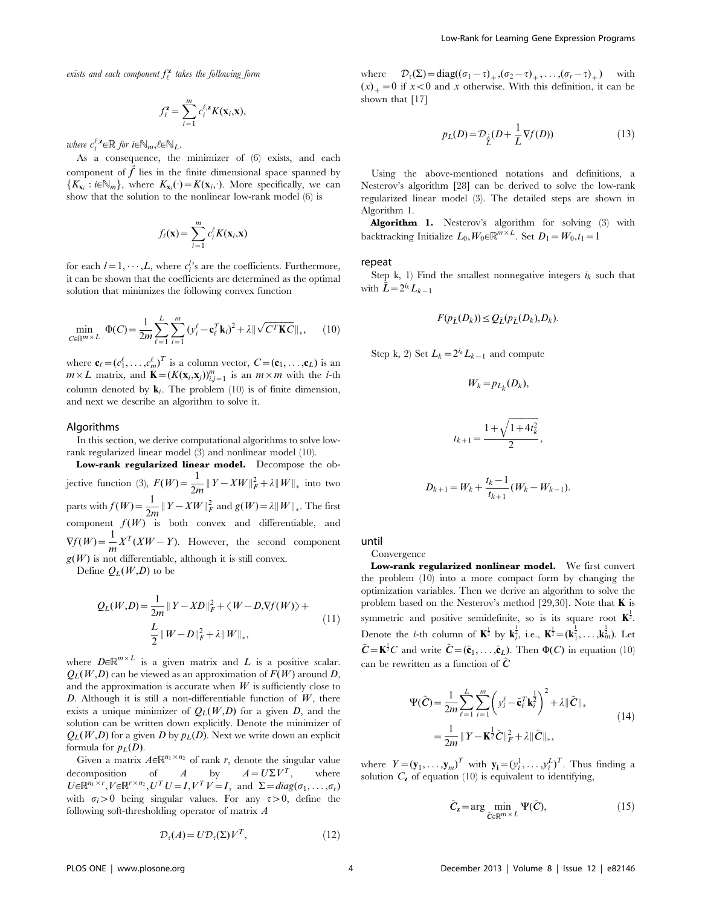exists and each component  $f_{\ell}^{\mathbf{z}}$  takes the following form

$$
f_{\ell}^{\mathbf{z}} = \sum_{i=1}^{m} c_{i}^{\ell, \mathbf{z}} K(\mathbf{x}_{i}, \mathbf{x}),
$$

where  $c_i^{\ell, \mathbf{z}} \in \mathbb{R}$  for  $i \in \mathbb{N}_m, \ell \in \mathbb{N}_L$ .

As a consequence, the minimizer of (6) exists, and each component of  $\vec{f}$  lies in the finite dimensional space spanned by  $\{K_{\mathbf{x}_i} : i \in \mathbb{N}_m\}$ , where  $K_{\mathbf{x}_i}(\cdot) = K(\mathbf{x}_i, \cdot)$ . More specifically, we can show that the solution to the nonlinear low-rank model (6) is

$$
f_{\ell}(\mathbf{x}) = \sum_{i=1}^{m} c_i^{\ell} K(\mathbf{x}_i, \mathbf{x})
$$

for each  $l = 1, \dots, L$ , where  $c_i^{l}$  are the coefficients. Furthermore, it can be shown that the coefficients are determined as the optimal solution that minimizes the following convex function

$$
\min_{C \in \mathbb{R}^{m \times L}} \Phi(C) = \frac{1}{2m} \sum_{\ell=1}^{L} \sum_{i=1}^{m} (y_i^{\ell} - \mathbf{c}_{\ell}^{T} \mathbf{k}_i)^2 + \lambda \| \sqrt{C^{T} \mathbf{K} C} \|_{*}, \qquad (10)
$$

where  $\mathbf{c}_{\ell} = (c_1^{\ell}, \dots, c_m^{\ell})^T$  is a column vector,  $C = (\mathbf{c}_1, \dots, \mathbf{c}_L)$  is an  $m \times L$  matrix, and  $\mathbf{K} = (K(\mathbf{x}_i, \mathbf{x}_j))_{i,j=1}^m$  is an  $m \times m$  with the *i*-th column denoted by  $\mathbf{k}_i$ . The problem (10) is of finite dimension, and next we describe an algorithm to solve it.

#### Algorithms

In this section, we derive computational algorithms to solve lowrank regularized linear model (3) and nonlinear model (10).

Low-rank regularized linear model. Decompose the objective function (3),  $F(W) = \frac{1}{2m} ||Y - XW||_F^2 + \lambda ||W||_*$  into two parts with  $f(W) = \frac{1}{2m} ||Y - XW||_F^2$  and  $g(W) = \lambda ||W||_*$ . The first component  $f(W)$  is both convex and differentiable, and  $\nabla f(W) = \frac{1}{m} X^T (XW - Y)$ . However, the second component  $g(W)$  is not differentiable, although it is still convex.

Define  $O<sub>L</sub>(W,D)$  to be

$$
Q_L(W,D) = \frac{1}{2m} ||Y - XD||_F^2 + \langle W - D, \nabla f(W) \rangle +
$$
  

$$
\frac{L}{2} ||W - D||_F^2 + \lambda ||W||_*,
$$
 (11)

where  $D \in \mathbb{R}^{m \times L}$  is a given matrix and L is a positive scalar.  $Q_L(W,D)$  can be viewed as an approximation of  $F(W)$  around D, and the approximation is accurate when  $W$  is sufficiently close to D. Although it is still a non-differentiable function of  $W$ , there exists a unique minimizer of  $Q_L(W,D)$  for a given D, and the solution can be written down explicitly. Denote the minimizer of  $Q_L(W,D)$  for a given D by  $p_L(D)$ . Next we write down an explicit formula for  $p_L(D)$ .

Given a matrix  $A \in \mathbb{R}^{n_1 \times n_2}$  of rank r, denote the singular value decomposition of A by  $A = U\Sigma V^T$ , where  $U \in \mathbb{R}^{n_1 \times r}$ ,  $V \in \mathbb{R}^{r \times n_2}$ ,  $U^T U = I$ ,  $V^T V = I$ , and  $\Sigma = diag(\sigma_1, \ldots, \sigma_r)$ with  $\sigma_i>0$  being singular values. For any  $\tau>0$ , define the following soft-thresholding operator of matrix A

$$
\mathcal{D}_{\tau}(A) = U \mathcal{D}_{\tau}(\Sigma) V^T, \qquad (12)
$$

where  $\mathcal{D}_{\tau}(\Sigma) = \text{diag}((\sigma_1 - \tau)_+, (\sigma_2 - \tau)_+, \dots, (\sigma_r - \tau)_+)$  with  $(x)$ <sub>+</sub> = 0 if x < 0 and x otherwise. With this definition, it can be shown that [17]

$$
p_L(D) = \mathcal{D}_{\underline{j}}(D + \frac{1}{L}\nabla f(D))\tag{13}
$$

Using the above-mentioned notations and definitions, a Nesterov's algorithm [28] can be derived to solve the low-rank regularized linear model (3). The detailed steps are shown in Algorithm 1.

Algorithm 1. Nesterov's algorithm for solving (3) with backtracking Initialize  $L_0, W_0 \in \mathbb{R}^{m \times L}$ . Set  $D_1 = W_0, t_1 = 1$ 

#### repeat

Step k, 1) Find the smallest nonnegative integers  $i_k$  such that with  $L=2^{i_k}L_{k-1}$ 

$$
F(p_{\tilde{L}}(D_k)) \le Q_{\tilde{L}}(p_{\tilde{L}}(D_k), D_k).
$$

Step k, 2) Set  $L_k = 2^{i_k}L_{k-1}$  and compute

$$
W_k = p_{L_k}(D_k),
$$

$$
t_{k+1} = \frac{1 + \sqrt{1 + 4t_k^2}}{2},
$$

$$
D_{k+1} = W_k + \frac{t_k - 1}{t_{k+1}} (W_k - W_{k-1}).
$$

until

Convergence

Low-rank regularized nonlinear model. We first convert the problem (10) into a more compact form by changing the optimization variables. Then we derive an algorithm to solve the problem based on the Nesterov's method [29,30]. Note that  $\bf{K}$  is symmetric and positive semidefinite, so is its square root  $K^{\frac{1}{2}}$ . Denote the *i*-th column of  $\mathbf{K}^{\frac{1}{2}}$  by  $\mathbf{k}^{\frac{1}{2}}_i$  i.e.,  $\mathbf{K}^{\frac{1}{2}} = (\mathbf{k}^{\frac{1}{2}}_1, \ldots, \mathbf{k}^{\frac{1}{2}}_m)$ . Let  $\tilde{C} = \mathbf{K}^{\frac{1}{2}}C$  and write  $\tilde{C} = (\tilde{\mathbf{c}}_1, \dots, \tilde{\mathbf{c}}_L)$ . Then  $\Phi(C)$  in equation (10) can be rewritten as a function of  $\tilde{C}$ 

$$
\Psi(\tilde{C}) = \frac{1}{2m} \sum_{\ell=1}^{L} \sum_{i=1}^{m} \left( y_i^{\ell} - \tilde{\mathbf{c}}_{\ell}^{T} \mathbf{k}_{i}^{2} \right)^{2} + \lambda \|\tilde{C}\|_{*}
$$
\n
$$
= \frac{1}{2m} \|Y - \mathbf{K}^{\frac{1}{2}} \tilde{C}\|_{F}^{2} + \lambda \|\tilde{C}\|_{*},
$$
\n(14)

where  $Y = (\mathbf{y}_1, \dots, \mathbf{y}_m)^T$  with  $\mathbf{y}_i = (y_i^1, \dots, y_i^L)^T$ . Thus finding a solution  $C_{\mathbf{z}}$  of equation (10) is equivalent to identifying,

$$
\tilde{C}_z = \arg\min_{\tilde{C} \in \mathbb{R}^{m \times L}} \Psi(\tilde{C}),\tag{15}
$$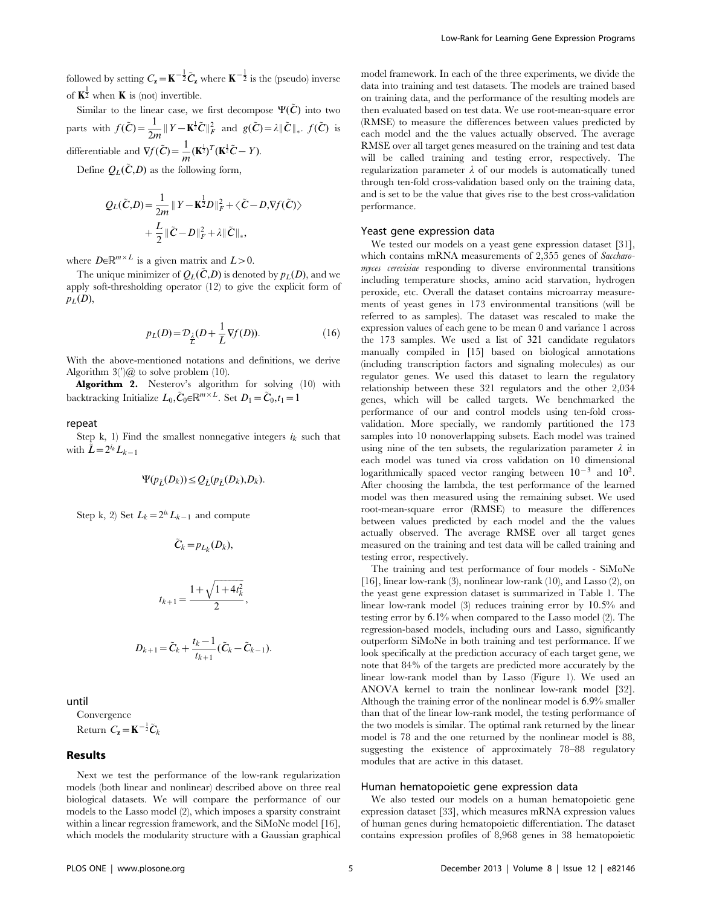followed by setting  $C_{\mathbf{z}} = \mathbf{K}^{-\frac{1}{2}} \tilde{C}_{\mathbf{z}}$  where  $\mathbf{K}^{-\frac{1}{2}}$  is the (pseudo) inverse of  $\mathbf{K}^{\frac{1}{2}}$  when **K** is (not) invertible.

Similar to the linear case, we first decompose  $\Psi(\tilde{C})$  into two parts with  $f(\tilde{C}) = \frac{1}{2m} ||Y - \mathbf{K}^{\frac{1}{2}} \tilde{C}||_F^2$  and  $g(\tilde{C}) = \lambda ||\tilde{C}||_*$ .  $f(\tilde{C})$  is differentiable and  $\nabla f(\tilde{C}) = \frac{1}{m} (\mathbf{K}^{\frac{1}{2}})^T (\mathbf{K}^{\frac{1}{2}} \tilde{C} - Y).$ 

Define  $Q_L(\tilde{C}, D)$  as the following form,

$$
Q_L(\tilde{C}, D) = \frac{1}{2m} ||Y - \mathbf{K}^{\frac{1}{2}}D||_F^2 + \langle \tilde{C} - D, \nabla f(\tilde{C}) \rangle
$$
  
+ 
$$
\frac{L}{2} ||\tilde{C} - D||_F^2 + \lambda ||\tilde{C}||_*,
$$

where  $D \in \mathbb{R}^{m \times L}$  is a given matrix and  $L > 0$ .

The unique minimizer of  $Q_L(\tilde{C}, D)$  is denoted by  $p_L(D)$ , and we apply soft-thresholding operator (12) to give the explicit form of  $p_L(D)$ ,

$$
p_L(D) = \mathcal{D}_{\underline{\lambda}}(D + \frac{1}{L}\nabla f(D)).\tag{16}
$$

With the above-mentioned notations and definitions, we derive Algorithm  $3'$ ) $\omega$  to solve problem (10).

Algorithm 2. Nesterov's algorithm for solving (10) with backtracking Initialize  $L_0, \tilde{C}_0 \in \mathbb{R}^{m \times L}$ . Set  $D_1 = \tilde{C}_0, t_1 = 1$ 

# repeat

Step k, 1) Find the smallest nonnegative integers  $i_k$  such that with  $\tilde{L}=2^{i_k}L_{k-1}$ 

$$
\Psi(p_{\tilde{L}}(D_k)) \leq Q_{\tilde{L}}(p_{\tilde{L}}(D_k), D_k).
$$

Step k, 2) Set  $L_k = 2^{i_k}L_{k-1}$  and compute

$$
\tilde{C}_k = p_{L_k}(D_k),
$$
  

$$
t_{k+1} = \frac{1 + \sqrt{1 + 4t_k^2}}{2},
$$
  

$$
D_{k+1} = \tilde{C}_k + \frac{t_k - 1}{t_{k+1}}(\tilde{C}_k - \tilde{C}_{k-1}).
$$

until

Convergence Return  $C_{\mathbf{z}} = \mathbf{K}^{-\frac{1}{2}} \tilde{C}_{k}$ 

#### Results

Next we test the performance of the low-rank regularization models (both linear and nonlinear) described above on three real biological datasets. We will compare the performance of our models to the Lasso model (2), which imposes a sparsity constraint within a linear regression framework, and the SiMoNe model [16], which models the modularity structure with a Gaussian graphical

model framework. In each of the three experiments, we divide the data into training and test datasets. The models are trained based on training data, and the performance of the resulting models are then evaluated based on test data. We use root-mean-square error (RMSE) to measure the differences between values predicted by each model and the the values actually observed. The average RMSE over all target genes measured on the training and test data will be called training and testing error, respectively. The regularization parameter  $\lambda$  of our models is automatically tuned through ten-fold cross-validation based only on the training data, and is set to be the value that gives rise to the best cross-validation performance.

#### Yeast gene expression data

We tested our models on a yeast gene expression dataset [31], which contains mRNA measurements of 2,355 genes of Saccharomyces cerevisiae responding to diverse environmental transitions including temperature shocks, amino acid starvation, hydrogen peroxide, etc. Overall the dataset contains microarray measurements of yeast genes in 173 environmental transitions (will be referred to as samples). The dataset was rescaled to make the expression values of each gene to be mean 0 and variance 1 across the 173 samples. We used a list of 321 candidate regulators manually compiled in [15] based on biological annotations (including transcription factors and signaling molecules) as our regulator genes. We used this dataset to learn the regulatory relationship between these 321 regulators and the other 2,034 genes, which will be called targets. We benchmarked the performance of our and control models using ten-fold crossvalidation. More specially, we randomly partitioned the 173 samples into 10 nonoverlapping subsets. Each model was trained using nine of the ten subsets, the regularization parameter  $\lambda$  in each model was tuned via cross validation on 10 dimensional logarithmically spaced vector ranging between  $10^{-3}$  and  $10^{2}$ . After choosing the lambda, the test performance of the learned model was then measured using the remaining subset. We used root-mean-square error (RMSE) to measure the differences between values predicted by each model and the the values actually observed. The average RMSE over all target genes measured on the training and test data will be called training and testing error, respectively.

The training and test performance of four models - SiMoNe [16], linear low-rank (3), nonlinear low-rank (10), and Lasso (2), on the yeast gene expression dataset is summarized in Table 1. The linear low-rank model (3) reduces training error by 10:5% and testing error by 6:1% when compared to the Lasso model (2). The regression-based models, including ours and Lasso, significantly outperform SiMoNe in both training and test performance. If we look specifically at the prediction accuracy of each target gene, we note that 84% of the targets are predicted more accurately by the linear low-rank model than by Lasso (Figure 1). We used an ANOVA kernel to train the nonlinear low-rank model [32]. Although the training error of the nonlinear model is 6:9% smaller than that of the linear low-rank model, the testing performance of the two models is similar. The optimal rank returned by the linear model is 78 and the one returned by the nonlinear model is 88, suggesting the existence of approximately 78–88 regulatory modules that are active in this dataset.

# Human hematopoietic gene expression data

We also tested our models on a human hematopoietic gene expression dataset [33], which measures mRNA expression values of human genes during hematopoietic differentiation. The dataset contains expression profiles of 8,968 genes in 38 hematopoietic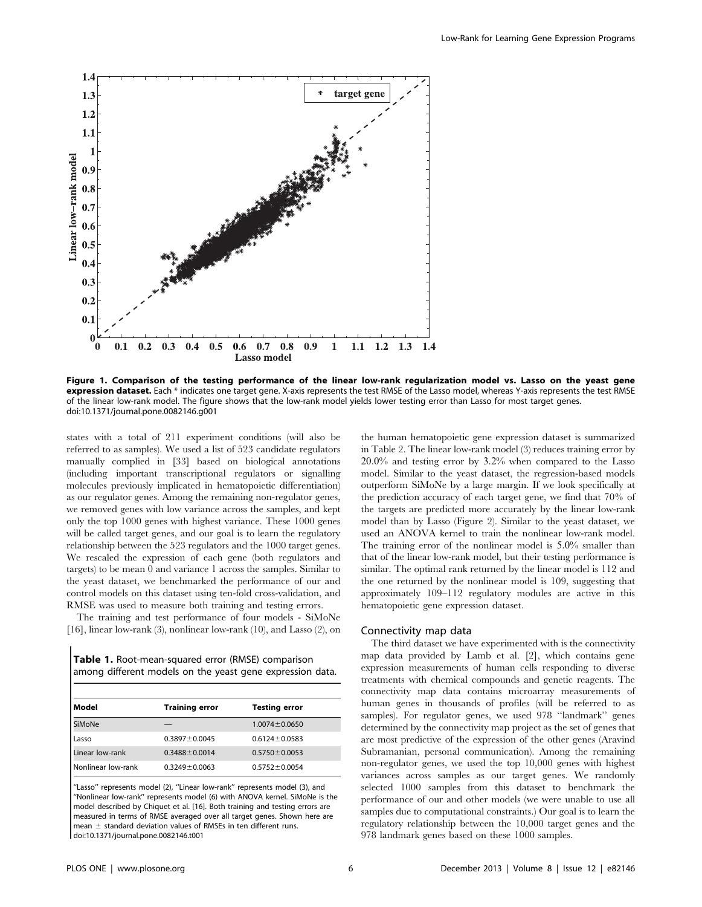

Figure 1. Comparison of the testing performance of the linear low-rank regularization model vs. Lasso on the yeast gene expression dataset. Each \* indicates one target gene. X-axis represents the test RMSE of the Lasso model, whereas Y-axis represents the test RMSE of the linear low-rank model. The figure shows that the low-rank model yields lower testing error than Lasso for most target genes. doi:10.1371/journal.pone.0082146.g001

states with a total of 211 experiment conditions (will also be referred to as samples). We used a list of 523 candidate regulators manually complied in [33] based on biological annotations (including important transcriptional regulators or signalling molecules previously implicated in hematopoietic differentiation) as our regulator genes. Among the remaining non-regulator genes, we removed genes with low variance across the samples, and kept only the top 1000 genes with highest variance. These 1000 genes will be called target genes, and our goal is to learn the regulatory relationship between the 523 regulators and the 1000 target genes. We rescaled the expression of each gene (both regulators and targets) to be mean 0 and variance 1 across the samples. Similar to the yeast dataset, we benchmarked the performance of our and control models on this dataset using ten-fold cross-validation, and RMSE was used to measure both training and testing errors.

The training and test performance of four models - SiMoNe [16], linear low-rank (3), nonlinear low-rank (10), and Lasso (2), on

Table 1. Root-mean-squared error (RMSE) comparison among different models on the yeast gene expression data.

| l Model            | <b>Training error</b> | <b>Testing error</b> |  |
|--------------------|-----------------------|----------------------|--|
| <b>SiMoNe</b>      |                       | $1.0074 \pm 0.0650$  |  |
| Lasso              | $0.3897 \pm 0.0045$   | $0.6124 \pm 0.0583$  |  |
| Linear low-rank    | $0.3488 \pm 0.0014$   | $0.5750 \pm 0.0053$  |  |
| Nonlinear low-rank | $0.3249 \pm 0.0063$   | $0.5752 \pm 0.0054$  |  |

''Lasso'' represents model (2), ''Linear low-rank'' represents model (3), and ''Nonlinear low-rank'' represents model (6) with ANOVA kernel. SiMoNe is the model described by Chiquet et al. [16]. Both training and testing errors are measured in terms of RMSE averaged over all target genes. Shown here are mean  $\pm$  standard deviation values of RMSEs in ten different runs. doi:10.1371/journal.pone.0082146.t001

the human hematopoietic gene expression dataset is summarized in Table 2. The linear low-rank model (3) reduces training error by 20:0% and testing error by 3:2% when compared to the Lasso model. Similar to the yeast dataset, the regression-based models outperform SiMoNe by a large margin. If we look specifically at the prediction accuracy of each target gene, we find that 70% of the targets are predicted more accurately by the linear low-rank model than by Lasso (Figure 2). Similar to the yeast dataset, we used an ANOVA kernel to train the nonlinear low-rank model. The training error of the nonlinear model is  $5.0\%$  smaller than that of the linear low-rank model, but their testing performance is similar. The optimal rank returned by the linear model is 112 and the one returned by the nonlinear model is 109, suggesting that approximately 109–112 regulatory modules are active in this hematopoietic gene expression dataset.

### Connectivity map data

The third dataset we have experimented with is the connectivity map data provided by Lamb et al. [2], which contains gene expression measurements of human cells responding to diverse treatments with chemical compounds and genetic reagents. The connectivity map data contains microarray measurements of human genes in thousands of profiles (will be referred to as samples). For regulator genes, we used 978 ''landmark'' genes determined by the connectivity map project as the set of genes that are most predictive of the expression of the other genes (Aravind Subramanian, personal communication). Among the remaining non-regulator genes, we used the top 10,000 genes with highest variances across samples as our target genes. We randomly selected 1000 samples from this dataset to benchmark the performance of our and other models (we were unable to use all samples due to computational constraints.) Our goal is to learn the regulatory relationship between the 10,000 target genes and the 978 landmark genes based on these 1000 samples.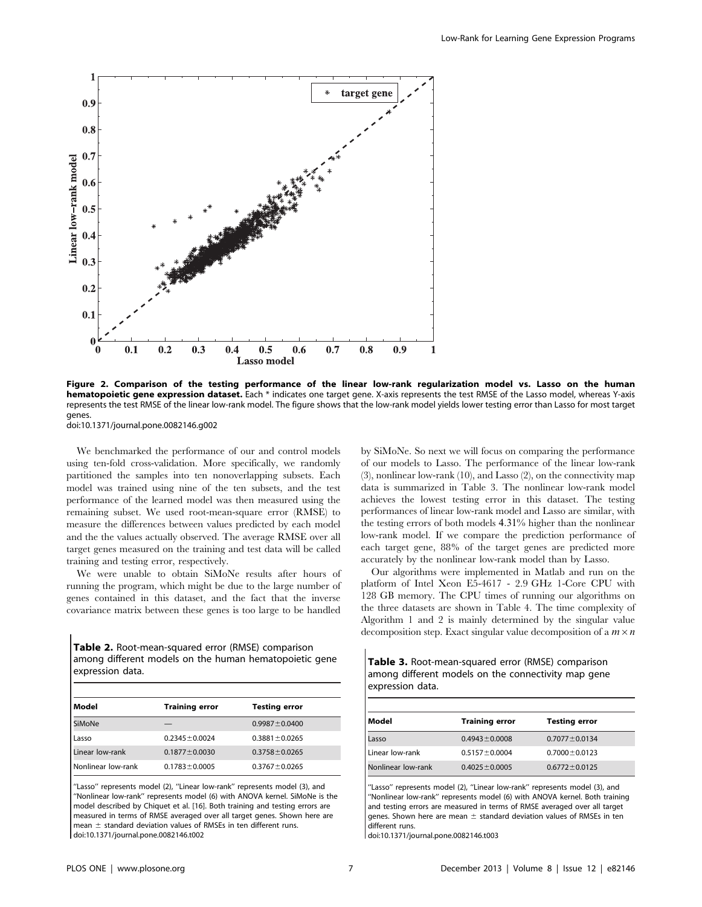

Figure 2. Comparison of the testing performance of the linear low-rank regularization model vs. Lasso on the human hematopoietic gene expression dataset. Each \* indicates one target gene. X-axis represents the test RMSE of the Lasso model, whereas Y-axis represents the test RMSE of the linear low-rank model. The figure shows that the low-rank model yields lower testing error than Lasso for most target genes.

doi:10.1371/journal.pone.0082146.g002

We benchmarked the performance of our and control models using ten-fold cross-validation. More specifically, we randomly partitioned the samples into ten nonoverlapping subsets. Each model was trained using nine of the ten subsets, and the test performance of the learned model was then measured using the remaining subset. We used root-mean-square error (RMSE) to measure the differences between values predicted by each model and the the values actually observed. The average RMSE over all target genes measured on the training and test data will be called training and testing error, respectively.

We were unable to obtain SiMoNe results after hours of running the program, which might be due to the large number of genes contained in this dataset, and the fact that the inverse covariance matrix between these genes is too large to be handled

Table 2. Root-mean-squared error (RMSE) comparison among different models on the human hematopoietic gene expression data.

| Model              | <b>Training error</b> | <b>Testing error</b> |
|--------------------|-----------------------|----------------------|
| SiMoNe             |                       | $0.9987 \pm 0.0400$  |
| Lasso              | $0.2345 \pm 0.0024$   | $0.3881 \pm 0.0265$  |
| Linear low-rank    | $0.1877 \pm 0.0030$   | $0.3758 \pm 0.0265$  |
| Nonlinear low-rank | $0.1783 \pm 0.0005$   | $0.3767 \pm 0.0265$  |

''Lasso'' represents model (2), ''Linear low-rank'' represents model (3), and ''Nonlinear low-rank'' represents model (6) with ANOVA kernel. SiMoNe is the model described by Chiquet et al. [16]. Both training and testing errors are measured in terms of RMSE averaged over all target genes. Shown here are mean  $\pm$  standard deviation values of RMSEs in ten different runs. doi:10.1371/journal.pone.0082146.t002

by SiMoNe. So next we will focus on comparing the performance of our models to Lasso. The performance of the linear low-rank (3), nonlinear low-rank (10), and Lasso (2), on the connectivity map data is summarized in Table 3. The nonlinear low-rank model achieves the lowest testing error in this dataset. The testing performances of linear low-rank model and Lasso are similar, with the testing errors of both models 4:31% higher than the nonlinear low-rank model. If we compare the prediction performance of each target gene, 88% of the target genes are predicted more accurately by the nonlinear low-rank model than by Lasso.

Our algorithms were implemented in Matlab and run on the platform of Intel Xeon E5-4617 - 2.9 GHz 1-Core CPU with 128 GB memory. The CPU times of running our algorithms on the three datasets are shown in Table 4. The time complexity of Algorithm 1 and 2 is mainly determined by the singular value decomposition step. Exact singular value decomposition of a  $m \times n$ 

Table 3. Root-mean-squared error (RMSE) comparison among different models on the connectivity map gene expression data.

| Model              | <b>Training error</b> | <b>Testing error</b> |
|--------------------|-----------------------|----------------------|
| Lasso              | $0.4943 \pm 0.0008$   | $0.7077 \pm 0.0134$  |
| Linear low-rank    | $0.5157 \pm 0.0004$   | $0.7000 \pm 0.0123$  |
| Nonlinear low-rank | $0.4025 \pm 0.0005$   | $0.6772 \pm 0.0125$  |

'Lasso" represents model (2), "Linear low-rank" represents model (3), and ''Nonlinear low-rank'' represents model (6) with ANOVA kernel. Both training and testing errors are measured in terms of RMSE averaged over all target genes. Shown here are mean  $\pm$  standard deviation values of RMSEs in ten different runs.

doi:10.1371/journal.pone.0082146.t003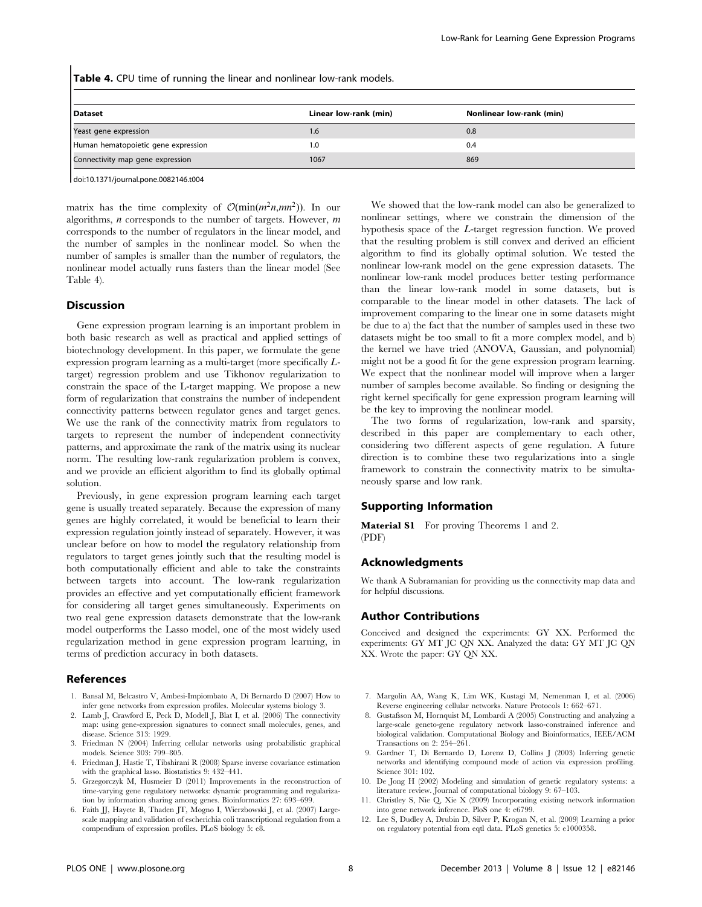Table 4. CPU time of running the linear and nonlinear low-rank models.

| l Dataset                           | Linear low-rank (min) | Nonlinear low-rank (min) |
|-------------------------------------|-----------------------|--------------------------|
| Yeast gene expression               | 1.6                   | 0.8                      |
| Human hematopoietic gene expression | 1.0                   | 0.4                      |
| Connectivity map gene expression    | 1067                  | 869                      |

doi:10.1371/journal.pone.0082146.t004

matrix has the time complexity of  $\mathcal{O}(\min(m^2n,mn^2))$ . In our algorithms,  $n$  corresponds to the number of targets. However,  $m$ corresponds to the number of regulators in the linear model, and the number of samples in the nonlinear model. So when the number of samples is smaller than the number of regulators, the nonlinear model actually runs fasters than the linear model (See Table 4).

#### Discussion

Gene expression program learning is an important problem in both basic research as well as practical and applied settings of biotechnology development. In this paper, we formulate the gene expression program learning as a multi-target (more specifically Ltarget) regression problem and use Tikhonov regularization to constrain the space of the L-target mapping. We propose a new form of regularization that constrains the number of independent connectivity patterns between regulator genes and target genes. We use the rank of the connectivity matrix from regulators to targets to represent the number of independent connectivity patterns, and approximate the rank of the matrix using its nuclear norm. The resulting low-rank regularization problem is convex, and we provide an efficient algorithm to find its globally optimal solution.

Previously, in gene expression program learning each target gene is usually treated separately. Because the expression of many genes are highly correlated, it would be beneficial to learn their expression regulation jointly instead of separately. However, it was unclear before on how to model the regulatory relationship from regulators to target genes jointly such that the resulting model is both computationally efficient and able to take the constraints between targets into account. The low-rank regularization provides an effective and yet computationally efficient framework for considering all target genes simultaneously. Experiments on two real gene expression datasets demonstrate that the low-rank model outperforms the Lasso model, one of the most widely used regularization method in gene expression program learning, in terms of prediction accuracy in both datasets.

#### References

- 1. Bansal M, Belcastro V, Ambesi-Impiombato A, Di Bernardo D (2007) How to infer gene networks from expression profiles. Molecular systems biology 3.
- 2. Lamb J, Crawford E, Peck D, Modell J, Blat I, et al. (2006) The connectivity map: using gene-expression signatures to connect small molecules, genes, and disease. Science 313: 1929.
- 3. Friedman N (2004) Inferring cellular networks using probabilistic graphical models. Science 303: 799–805.
- 4. Friedman J, Hastie T, Tibshirani R (2008) Sparse inverse covariance estimation with the graphical lasso. Biostatistics 9: 432–441.
- 5. Grzegorczyk M, Husmeier D (2011) Improvements in the reconstruction of time-varying gene regulatory networks: dynamic programming and regularization by information sharing among genes. Bioinformatics 27: 693–699.
- 6. Faith JJ, Hayete B, Thaden JT, Mogno I, Wierzbowski J, et al. (2007) Largescale mapping and validation of escherichia coli transcriptional regulation from a compendium of expression profiles. PLoS biology 5: e8.

We showed that the low-rank model can also be generalized to nonlinear settings, where we constrain the dimension of the hypothesis space of the L-target regression function. We proved that the resulting problem is still convex and derived an efficient algorithm to find its globally optimal solution. We tested the nonlinear low-rank model on the gene expression datasets. The nonlinear low-rank model produces better testing performance than the linear low-rank model in some datasets, but is comparable to the linear model in other datasets. The lack of improvement comparing to the linear one in some datasets might be due to a) the fact that the number of samples used in these two datasets might be too small to fit a more complex model, and b) the kernel we have tried (ANOVA, Gaussian, and polynomial) might not be a good fit for the gene expression program learning. We expect that the nonlinear model will improve when a larger number of samples become available. So finding or designing the right kernel specifically for gene expression program learning will be the key to improving the nonlinear model.

The two forms of regularization, low-rank and sparsity, described in this paper are complementary to each other, considering two different aspects of gene regulation. A future direction is to combine these two regularizations into a single framework to constrain the connectivity matrix to be simultaneously sparse and low rank.

# Supporting Information

Material S1 For proving Theorems 1 and 2. (PDF)

#### Acknowledgments

We thank A Subramanian for providing us the connectivity map data and for helpful discussions.

#### Author Contributions

Conceived and designed the experiments: GY XX. Performed the experiments: GY MT JC QN XX. Analyzed the data: GY MT JC QN XX. Wrote the paper: GY QN XX.

- 7. Margolin AA, Wang K, Lim WK, Kustagi M, Nemenman I, et al. (2006) Reverse engineering cellular networks. Nature Protocols 1: 662–671.
- 8. Gustafsson M, Hornquist M, Lombardi A (2005) Constructing and analyzing a large-scale geneto-gene regulatory network lasso-constrained inference and biological validation. Computational Biology and Bioinformatics, IEEE/ACM Transactions on 2: 254–261.
- 9. Gardner T, Di Bernardo D, Lorenz D, Collins J (2003) Inferring genetic networks and identifying compound mode of action via expression profiling. Science 301: 102.
- 10. De Jong H (2002) Modeling and simulation of genetic regulatory systems: a literature review. Journal of computational biology 9: 67–103.
- 11. Christley S, Nie Q, Xie X (2009) Incorporating existing network information into gene network inference. PloS one 4: e6799.
- 12. Lee S, Dudley A, Drubin D, Silver P, Krogan N, et al. (2009) Learning a prior on regulatory potential from eqtl data. PLoS genetics 5: e1000358.